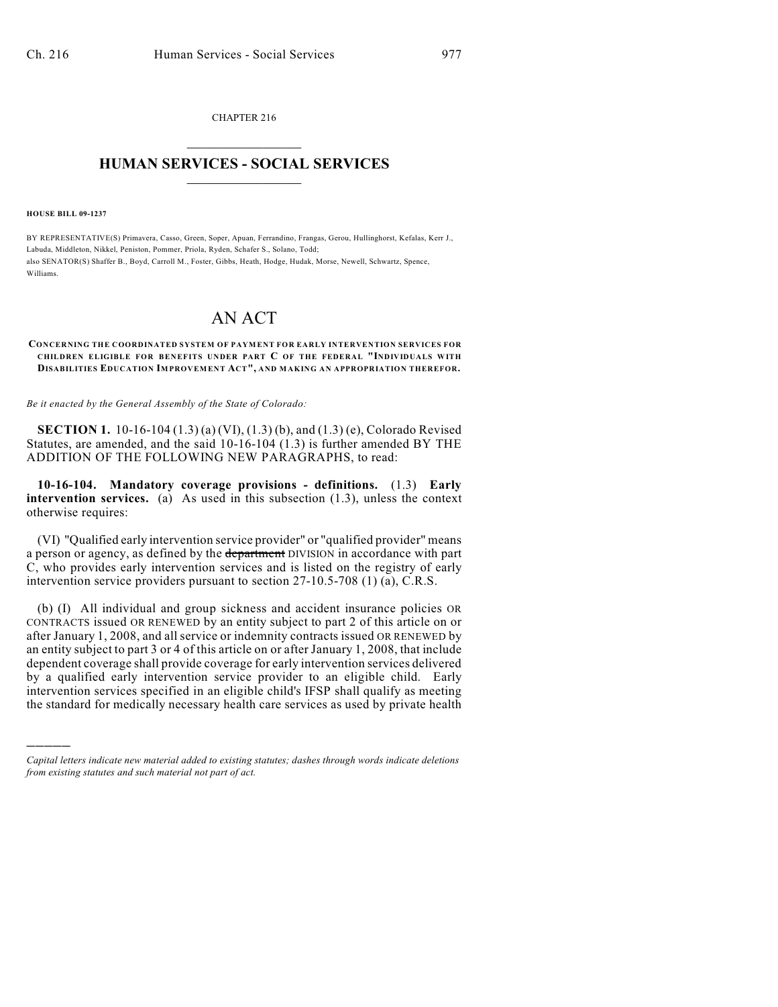CHAPTER 216  $\mathcal{L}_\text{max}$  . The set of the set of the set of the set of the set of the set of the set of the set of the set of the set of the set of the set of the set of the set of the set of the set of the set of the set of the set

## **HUMAN SERVICES - SOCIAL SERVICES**  $\frac{1}{2}$  ,  $\frac{1}{2}$  ,  $\frac{1}{2}$  ,  $\frac{1}{2}$  ,  $\frac{1}{2}$  ,  $\frac{1}{2}$  ,  $\frac{1}{2}$

**HOUSE BILL 09-1237**

)))))

BY REPRESENTATIVE(S) Primavera, Casso, Green, Soper, Apuan, Ferrandino, Frangas, Gerou, Hullinghorst, Kefalas, Kerr J., Labuda, Middleton, Nikkel, Peniston, Pommer, Priola, Ryden, Schafer S., Solano, Todd; also SENATOR(S) Shaffer B., Boyd, Carroll M., Foster, Gibbs, Heath, Hodge, Hudak, Morse, Newell, Schwartz, Spence, Williams.

## AN ACT

## **CONCERNING THE COORDINATED SYSTEM OF PAYMENT FOR EARLY INTERVENTION SERVICES FOR CHILDREN ELIGIBLE FOR BENEFITS UNDER PART C OF THE FEDERAL "INDIVIDUALS WITH DISABILITIES EDUCATION IMPROVEMENT ACT", AND MAKING AN APPROPRIATION THEREFOR.**

*Be it enacted by the General Assembly of the State of Colorado:*

**SECTION 1.** 10-16-104 (1.3) (a) (VI), (1.3) (b), and (1.3) (e), Colorado Revised Statutes, are amended, and the said 10-16-104 (1.3) is further amended BY THE ADDITION OF THE FOLLOWING NEW PARAGRAPHS, to read:

**10-16-104. Mandatory coverage provisions - definitions.** (1.3) **Early intervention services.** (a) As used in this subsection (1.3), unless the context otherwise requires:

(VI) "Qualified early intervention service provider" or "qualified provider" means a person or agency, as defined by the department DIVISION in accordance with part C, who provides early intervention services and is listed on the registry of early intervention service providers pursuant to section 27-10.5-708 (1) (a), C.R.S.

(b) (I) All individual and group sickness and accident insurance policies OR CONTRACTS issued OR RENEWED by an entity subject to part 2 of this article on or after January 1, 2008, and all service or indemnity contracts issued OR RENEWED by an entity subject to part 3 or 4 of this article on or after January 1, 2008, that include dependent coverage shall provide coverage for early intervention services delivered by a qualified early intervention service provider to an eligible child. Early intervention services specified in an eligible child's IFSP shall qualify as meeting the standard for medically necessary health care services as used by private health

*Capital letters indicate new material added to existing statutes; dashes through words indicate deletions from existing statutes and such material not part of act.*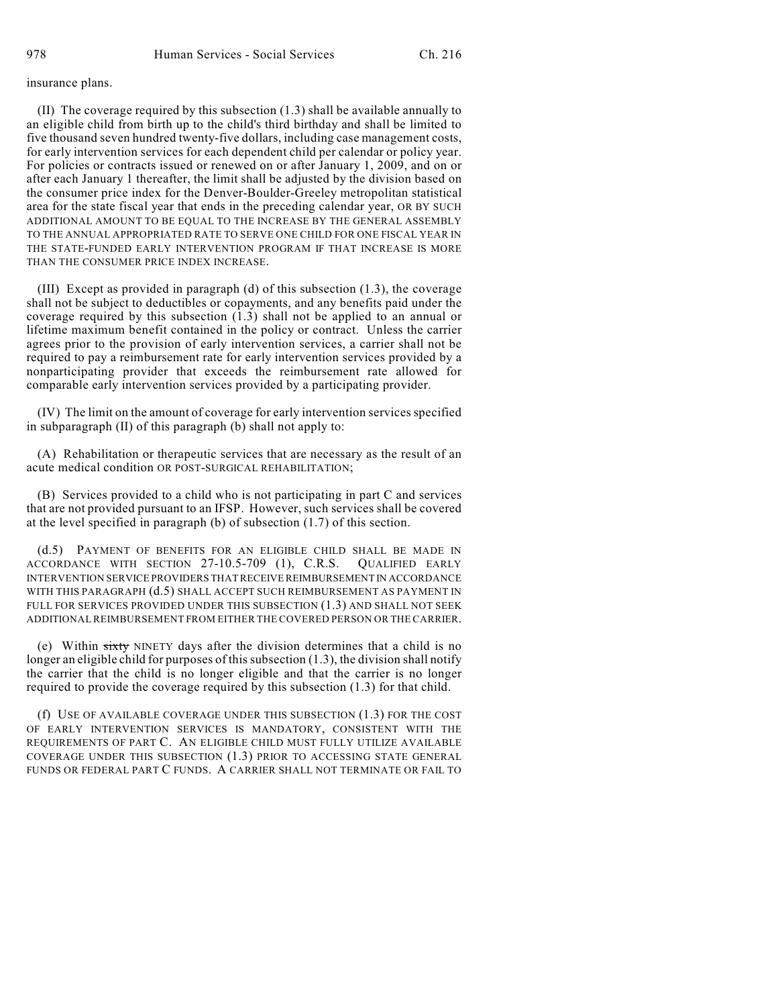## insurance plans.

(II) The coverage required by this subsection (1.3) shall be available annually to an eligible child from birth up to the child's third birthday and shall be limited to five thousand seven hundred twenty-five dollars, including case management costs, for early intervention services for each dependent child per calendar or policy year. For policies or contracts issued or renewed on or after January 1, 2009, and on or after each January 1 thereafter, the limit shall be adjusted by the division based on the consumer price index for the Denver-Boulder-Greeley metropolitan statistical area for the state fiscal year that ends in the preceding calendar year, OR BY SUCH ADDITIONAL AMOUNT TO BE EQUAL TO THE INCREASE BY THE GENERAL ASSEMBLY TO THE ANNUAL APPROPRIATED RATE TO SERVE ONE CHILD FOR ONE FISCAL YEAR IN THE STATE-FUNDED EARLY INTERVENTION PROGRAM IF THAT INCREASE IS MORE THAN THE CONSUMER PRICE INDEX INCREASE.

(III) Except as provided in paragraph (d) of this subsection (1.3), the coverage shall not be subject to deductibles or copayments, and any benefits paid under the coverage required by this subsection  $(1.3)$  shall not be applied to an annual or lifetime maximum benefit contained in the policy or contract. Unless the carrier agrees prior to the provision of early intervention services, a carrier shall not be required to pay a reimbursement rate for early intervention services provided by a nonparticipating provider that exceeds the reimbursement rate allowed for comparable early intervention services provided by a participating provider.

(IV) The limit on the amount of coverage for early intervention services specified in subparagraph (II) of this paragraph (b) shall not apply to:

(A) Rehabilitation or therapeutic services that are necessary as the result of an acute medical condition OR POST-SURGICAL REHABILITATION;

(B) Services provided to a child who is not participating in part C and services that are not provided pursuant to an IFSP. However, such services shall be covered at the level specified in paragraph (b) of subsection (1.7) of this section.

(d.5) PAYMENT OF BENEFITS FOR AN ELIGIBLE CHILD SHALL BE MADE IN ACCORDANCE WITH SECTION 27-10.5-709 (1), C.R.S. QUALIFIED EARLY INTERVENTION SERVICE PROVIDERS THAT RECEIVE REIMBURSEMENT IN ACCORDANCE WITH THIS PARAGRAPH (d.5) SHALL ACCEPT SUCH REIMBURSEMENT AS PAYMENT IN FULL FOR SERVICES PROVIDED UNDER THIS SUBSECTION (1.3) AND SHALL NOT SEEK ADDITIONAL REIMBURSEMENT FROM EITHER THE COVERED PERSON OR THE CARRIER.

(e) Within sixty NINETY days after the division determines that a child is no longer an eligible child for purposes of this subsection (1.3), the division shall notify the carrier that the child is no longer eligible and that the carrier is no longer required to provide the coverage required by this subsection (1.3) for that child.

(f) USE OF AVAILABLE COVERAGE UNDER THIS SUBSECTION (1.3) FOR THE COST OF EARLY INTERVENTION SERVICES IS MANDATORY, CONSISTENT WITH THE REQUIREMENTS OF PART C. AN ELIGIBLE CHILD MUST FULLY UTILIZE AVAILABLE COVERAGE UNDER THIS SUBSECTION (1.3) PRIOR TO ACCESSING STATE GENERAL FUNDS OR FEDERAL PART C FUNDS. A CARRIER SHALL NOT TERMINATE OR FAIL TO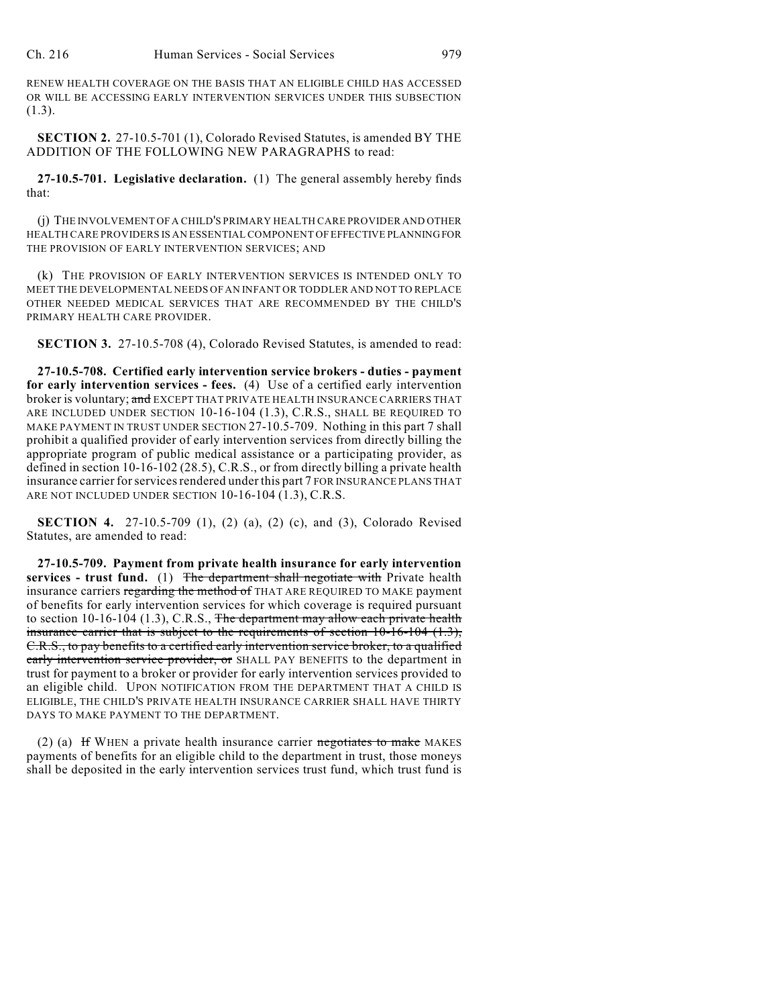RENEW HEALTH COVERAGE ON THE BASIS THAT AN ELIGIBLE CHILD HAS ACCESSED OR WILL BE ACCESSING EARLY INTERVENTION SERVICES UNDER THIS SUBSECTION (1.3).

**SECTION 2.** 27-10.5-701 (1), Colorado Revised Statutes, is amended BY THE ADDITION OF THE FOLLOWING NEW PARAGRAPHS to read:

**27-10.5-701. Legislative declaration.** (1) The general assembly hereby finds that:

(j) THE INVOLVEMENT OF A CHILD'S PRIMARY HEALTH CARE PROVIDER AND OTHER HEALTH CARE PROVIDERS IS AN ESSENTIAL COMPONENT OF EFFECTIVE PLANNING FOR THE PROVISION OF EARLY INTERVENTION SERVICES; AND

(k) THE PROVISION OF EARLY INTERVENTION SERVICES IS INTENDED ONLY TO MEET THE DEVELOPMENTAL NEEDS OF AN INFANT OR TODDLER AND NOT TO REPLACE OTHER NEEDED MEDICAL SERVICES THAT ARE RECOMMENDED BY THE CHILD'S PRIMARY HEALTH CARE PROVIDER.

**SECTION 3.** 27-10.5-708 (4), Colorado Revised Statutes, is amended to read:

**27-10.5-708. Certified early intervention service brokers - duties - payment for early intervention services - fees.** (4) Use of a certified early intervention broker is voluntary; and EXCEPT THAT PRIVATE HEALTH INSURANCE CARRIERS THAT ARE INCLUDED UNDER SECTION 10-16-104 (1.3), C.R.S., SHALL BE REQUIRED TO MAKE PAYMENT IN TRUST UNDER SECTION 27-10.5-709. Nothing in this part 7 shall prohibit a qualified provider of early intervention services from directly billing the appropriate program of public medical assistance or a participating provider, as defined in section 10-16-102 (28.5), C.R.S., or from directly billing a private health insurance carrier for services rendered under this part 7 FOR INSURANCE PLANS THAT ARE NOT INCLUDED UNDER SECTION 10-16-104 (1.3), C.R.S.

**SECTION 4.** 27-10.5-709 (1), (2) (a), (2) (c), and (3), Colorado Revised Statutes, are amended to read:

**27-10.5-709. Payment from private health insurance for early intervention services - trust fund.** (1) The department shall negotiate with Private health insurance carriers regarding the method of THAT ARE REQUIRED TO MAKE payment of benefits for early intervention services for which coverage is required pursuant to section 10-16-104 (1.3), C.R.S., The department may allow each private health insurance carrier that is subject to the requirements of section 10-16-104 (1.3), C.R.S., to pay benefits to a certified early intervention service broker, to a qualified early intervention service provider, or SHALL PAY BENEFITS to the department in trust for payment to a broker or provider for early intervention services provided to an eligible child. UPON NOTIFICATION FROM THE DEPARTMENT THAT A CHILD IS ELIGIBLE, THE CHILD'S PRIVATE HEALTH INSURANCE CARRIER SHALL HAVE THIRTY DAYS TO MAKE PAYMENT TO THE DEPARTMENT.

(2) (a)  $H$  WHEN a private health insurance carrier negotiates to make MAKES payments of benefits for an eligible child to the department in trust, those moneys shall be deposited in the early intervention services trust fund, which trust fund is